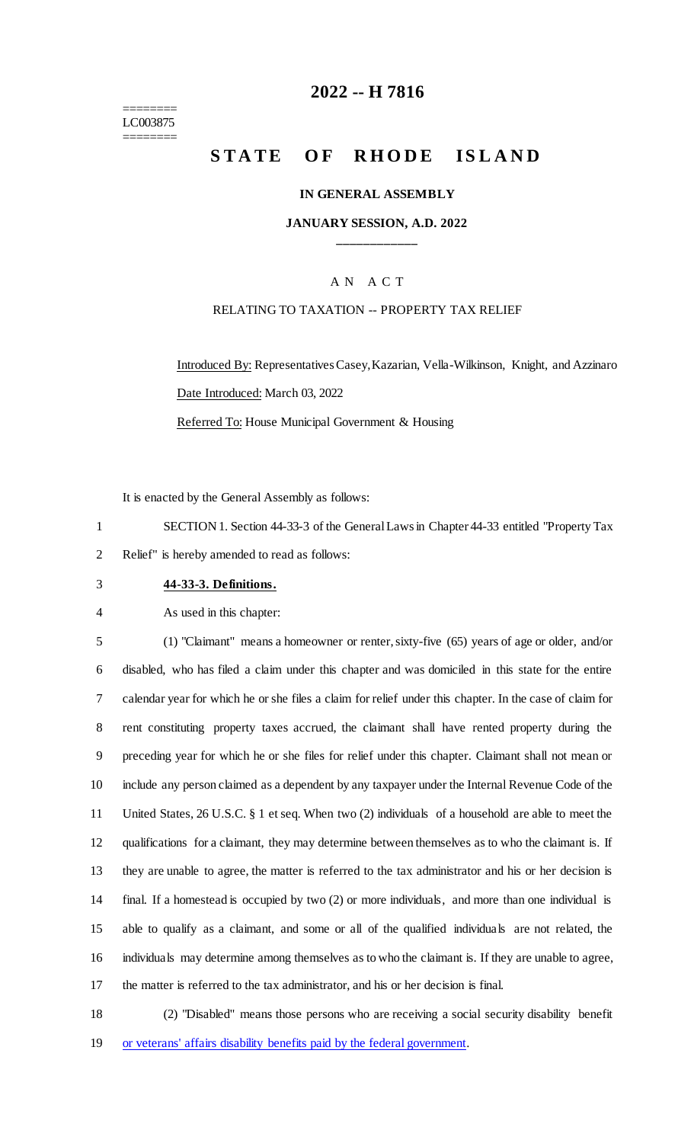======== LC003875 ========

### **-- H 7816**

# **STATE OF RHODE ISLAND**

#### **IN GENERAL ASSEMBLY**

#### **JANUARY SESSION, A.D. 2022 \_\_\_\_\_\_\_\_\_\_\_\_**

### A N A C T

#### RELATING TO TAXATION -- PROPERTY TAX RELIEF

Introduced By: Representatives Casey, Kazarian, Vella-Wilkinson, Knight, and Azzinaro Date Introduced: March 03, 2022 Referred To: House Municipal Government & Housing

It is enacted by the General Assembly as follows:

 SECTION 1. Section 44-33-3 of the General Laws in Chapter 44-33 entitled "Property Tax Relief" is hereby amended to read as follows:

**44-33-3. Definitions.**

As used in this chapter:

 (1) "Claimant" means a homeowner or renter, sixty-five (65) years of age or older, and/or disabled, who has filed a claim under this chapter and was domiciled in this state for the entire calendar year for which he or she files a claim for relief under this chapter. In the case of claim for rent constituting property taxes accrued, the claimant shall have rented property during the preceding year for which he or she files for relief under this chapter. Claimant shall not mean or include any person claimed as a dependent by any taxpayer under the Internal Revenue Code of the United States, 26 U.S.C. § 1 et seq. When two (2) individuals of a household are able to meet the qualifications for a claimant, they may determine between themselves as to who the claimant is. If they are unable to agree, the matter is referred to the tax administrator and his or her decision is final. If a homestead is occupied by two (2) or more individuals, and more than one individual is able to qualify as a claimant, and some or all of the qualified individuals are not related, the individuals may determine among themselves as to who the claimant is. If they are unable to agree, the matter is referred to the tax administrator, and his or her decision is final.

 (2) "Disabled" means those persons who are receiving a social security disability benefit or veterans' affairs disability benefits paid by the federal government.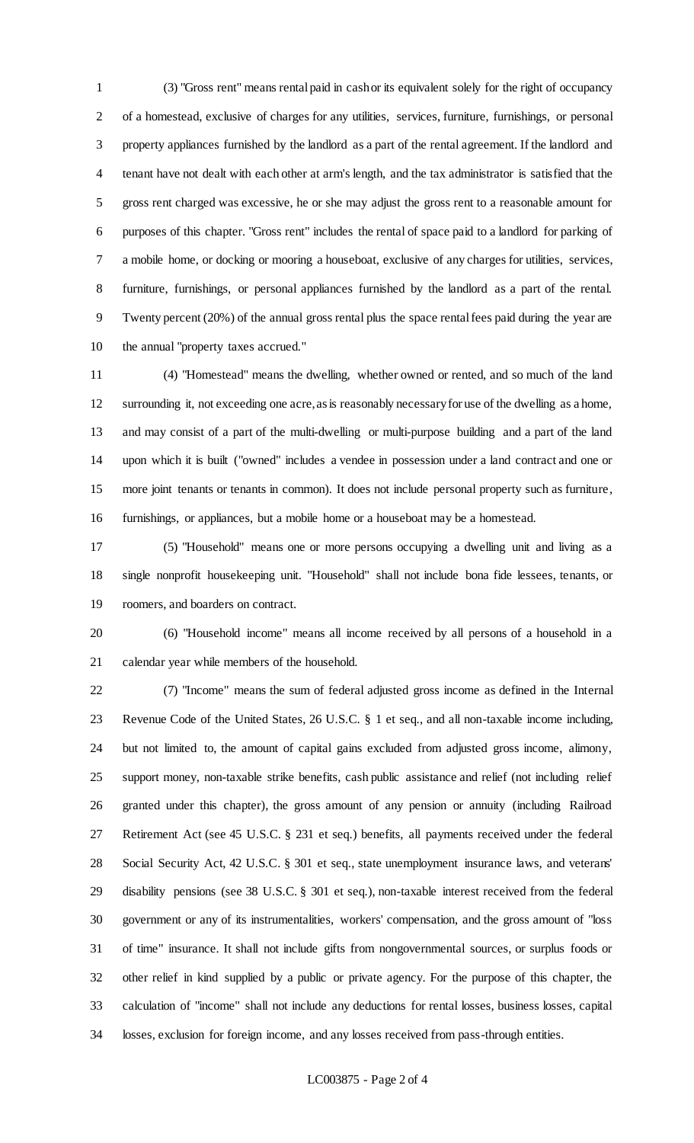(3) "Gross rent" means rental paid in cash or its equivalent solely for the right of occupancy of a homestead, exclusive of charges for any utilities, services, furniture, furnishings, or personal property appliances furnished by the landlord as a part of the rental agreement. If the landlord and tenant have not dealt with each other at arm's length, and the tax administrator is satisfied that the gross rent charged was excessive, he or she may adjust the gross rent to a reasonable amount for purposes of this chapter. "Gross rent" includes the rental of space paid to a landlord for parking of a mobile home, or docking or mooring a houseboat, exclusive of any charges for utilities, services, furniture, furnishings, or personal appliances furnished by the landlord as a part of the rental. Twenty percent (20%) of the annual gross rental plus the space rental fees paid during the year are the annual "property taxes accrued."

 (4) "Homestead" means the dwelling, whether owned or rented, and so much of the land surrounding it, not exceeding one acre, as is reasonably necessary for use of the dwelling as a home, and may consist of a part of the multi-dwelling or multi-purpose building and a part of the land upon which it is built ("owned" includes a vendee in possession under a land contract and one or more joint tenants or tenants in common). It does not include personal property such as furniture, furnishings, or appliances, but a mobile home or a houseboat may be a homestead.

 (5) "Household" means one or more persons occupying a dwelling unit and living as a single nonprofit housekeeping unit. "Household" shall not include bona fide lessees, tenants, or roomers, and boarders on contract.

 (6) "Household income" means all income received by all persons of a household in a calendar year while members of the household.

 (7) "Income" means the sum of federal adjusted gross income as defined in the Internal Revenue Code of the United States, 26 U.S.C. § 1 et seq., and all non-taxable income including, but not limited to, the amount of capital gains excluded from adjusted gross income, alimony, support money, non-taxable strike benefits, cash public assistance and relief (not including relief granted under this chapter), the gross amount of any pension or annuity (including Railroad Retirement Act (see 45 U.S.C. § 231 et seq.) benefits, all payments received under the federal Social Security Act, 42 U.S.C. § 301 et seq., state unemployment insurance laws, and veterans' disability pensions (see 38 U.S.C. § 301 et seq.), non-taxable interest received from the federal government or any of its instrumentalities, workers' compensation, and the gross amount of "loss of time" insurance. It shall not include gifts from nongovernmental sources, or surplus foods or other relief in kind supplied by a public or private agency. For the purpose of this chapter, the calculation of "income" shall not include any deductions for rental losses, business losses, capital losses, exclusion for foreign income, and any losses received from pass-through entities.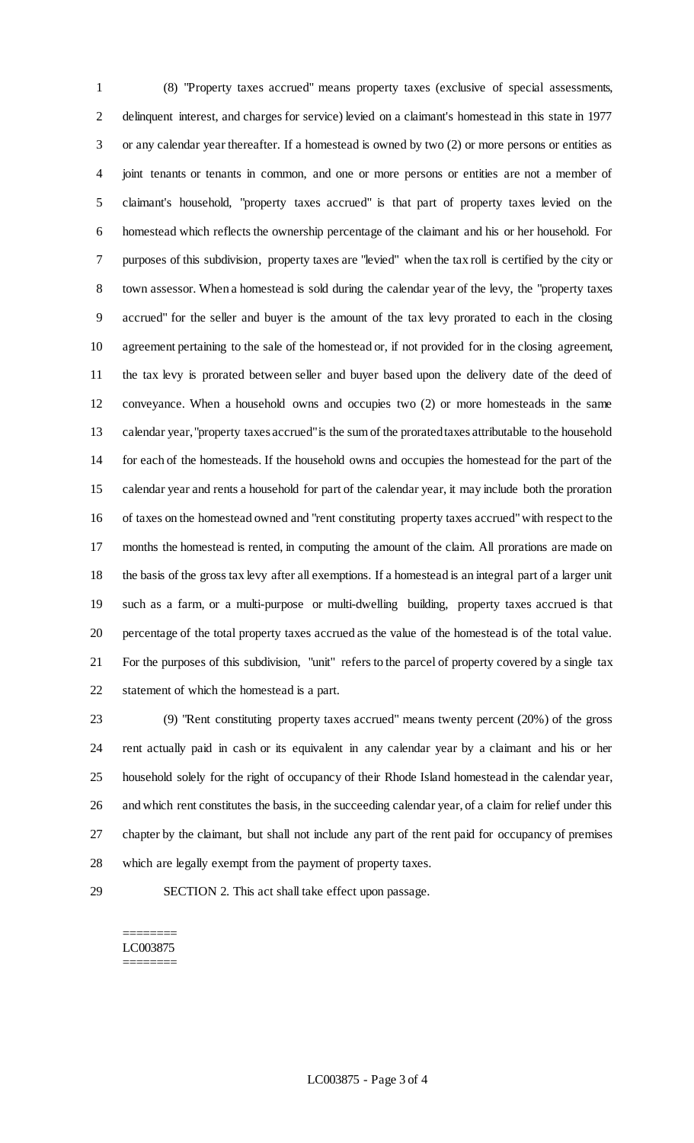(8) "Property taxes accrued" means property taxes (exclusive of special assessments, delinquent interest, and charges for service) levied on a claimant's homestead in this state in 1977 or any calendar year thereafter. If a homestead is owned by two (2) or more persons or entities as joint tenants or tenants in common, and one or more persons or entities are not a member of claimant's household, "property taxes accrued" is that part of property taxes levied on the homestead which reflects the ownership percentage of the claimant and his or her household. For purposes of this subdivision, property taxes are "levied" when the tax roll is certified by the city or town assessor. When a homestead is sold during the calendar year of the levy, the "property taxes accrued" for the seller and buyer is the amount of the tax levy prorated to each in the closing agreement pertaining to the sale of the homestead or, if not provided for in the closing agreement, the tax levy is prorated between seller and buyer based upon the delivery date of the deed of conveyance. When a household owns and occupies two (2) or more homesteads in the same calendar year, "property taxes accrued"is the sum of the prorated taxes attributable to the household for each of the homesteads. If the household owns and occupies the homestead for the part of the calendar year and rents a household for part of the calendar year, it may include both the proration of taxes on the homestead owned and "rent constituting property taxes accrued"with respect to the months the homestead is rented, in computing the amount of the claim. All prorations are made on the basis of the gross tax levy after all exemptions. If a homestead is an integral part of a larger unit such as a farm, or a multi-purpose or multi-dwelling building, property taxes accrued is that percentage of the total property taxes accrued as the value of the homestead is of the total value. For the purposes of this subdivision, "unit" refers to the parcel of property covered by a single tax statement of which the homestead is a part.

 (9) "Rent constituting property taxes accrued" means twenty percent (20%) of the gross rent actually paid in cash or its equivalent in any calendar year by a claimant and his or her household solely for the right of occupancy of their Rhode Island homestead in the calendar year, and which rent constitutes the basis, in the succeeding calendar year, of a claim for relief under this chapter by the claimant, but shall not include any part of the rent paid for occupancy of premises which are legally exempt from the payment of property taxes.

SECTION 2. This act shall take effect upon passage.

#### ======== LC003875 ========